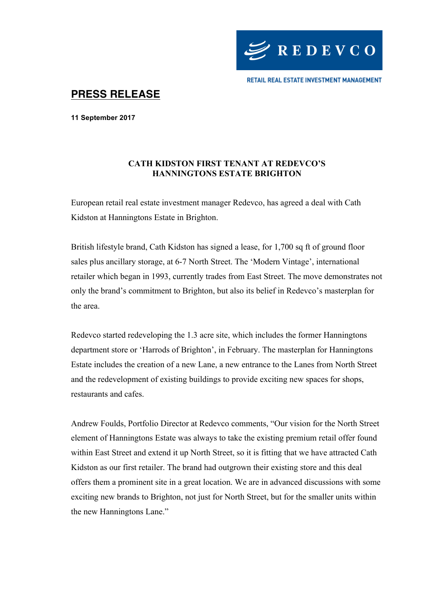

RETAIL REAL ESTATE INVESTMENT MANAGEMENT

# **PRESS RELEASE**

**11 September 2017**

### **CATH KIDSTON FIRST TENANT AT REDEVCO'S HANNINGTONS ESTATE BRIGHTON**

European retail real estate investment manager Redevco, has agreed a deal with Cath Kidston at Hanningtons Estate in Brighton.

British lifestyle brand, Cath Kidston has signed a lease, for 1,700 sq ft of ground floor sales plus ancillary storage, at 6-7 North Street. The 'Modern Vintage', international retailer which began in 1993, currently trades from East Street. The move demonstrates not only the brand's commitment to Brighton, but also its belief in Redevco's masterplan for the area.

Redevco started redeveloping the 1.3 acre site, which includes the former Hanningtons department store or 'Harrods of Brighton', in February. The masterplan for Hanningtons Estate includes the creation of a new Lane, a new entrance to the Lanes from North Street and the redevelopment of existing buildings to provide exciting new spaces for shops, restaurants and cafes.

Andrew Foulds, Portfolio Director at Redevco comments, "Our vision for the North Street element of Hanningtons Estate was always to take the existing premium retail offer found within East Street and extend it up North Street, so it is fitting that we have attracted Cath Kidston as our first retailer. The brand had outgrown their existing store and this deal offers them a prominent site in a great location. We are in advanced discussions with some exciting new brands to Brighton, not just for North Street, but for the smaller units within the new Hanningtons Lane."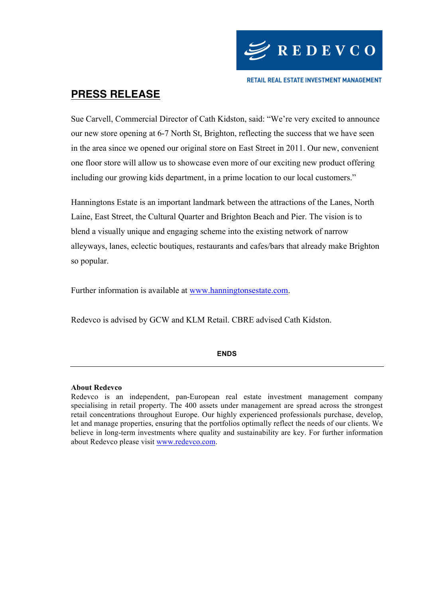

RETAIL REAL ESTATE INVESTMENT MANAGEMENT

## **PRESS RELEASE**

Sue Carvell, Commercial Director of Cath Kidston, said: "We're very excited to announce our new store opening at 6-7 North St, Brighton, reflecting the success that we have seen in the area since we opened our original store on East Street in 2011. Our new, convenient one floor store will allow us to showcase even more of our exciting new product offering including our growing kids department, in a prime location to our local customers."

Hanningtons Estate is an important landmark between the attractions of the Lanes, North Laine, East Street, the Cultural Quarter and Brighton Beach and Pier. The vision is to blend a visually unique and engaging scheme into the existing network of narrow alleyways, lanes, eclectic boutiques, restaurants and cafes/bars that already make Brighton so popular.

Further information is available at www.hanningtonsestate.com.

Redevco is advised by GCW and KLM Retail. CBRE advised Cath Kidston.

### **ENDS**

#### **About Redevco**

Redevco is an independent, pan-European real estate investment management company specialising in retail property. The 400 assets under management are spread across the strongest retail concentrations throughout Europe. Our highly experienced professionals purchase, develop, let and manage properties, ensuring that the portfolios optimally reflect the needs of our clients. We believe in long-term investments where quality and sustainability are key. For further information about Redevco please visit www.redevco.com.